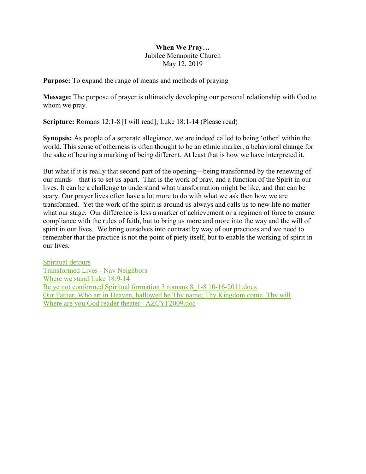## When We Pray… Jubilee Mennonite Church May 12, 2019

Purpose: To expand the range of means and methods of praying

Message: The purpose of prayer is ultimately developing our personal relationship with God to whom we pray.

Scripture: Romans 12:1-8 [I will read]; Luke 18:1-14 (Please read)

Synopsis: As people of a separate allegiance, we are indeed called to being 'other' within the world. This sense of otherness is often thought to be an ethnic marker, a behavioral change for the sake of bearing a marking of being different. At least that is how we have interpreted it.

But what if it is really that second part of the opening—being transformed by the renewing of our minds—that is to set us apart. That is the work of pray, and a function of the Spirit in our lives. It can be a challenge to understand what transformation might be like, and that can be scary. Our prayer lives often have a lot more to do with what we ask then how we are transformed. Yet the work of the spirit is around us always and calls us to new life no matter what our stage. Our difference is less a marker of achievement or a regimen of force to ensure compliance with the rules of faith, but to bring us more and more into the way and the will of spirit in our lives. We bring ourselves into contrast by way of our practices and we need to remember that the practice is not the point of piety itself, but to enable the working of spirit in our lives.

Spiritual detours Transformed Lives - Nav Neighbors Where we stand Luke 18:9-14 Be ye not conformed Spiritual formation 3 romans 8 1-8 10-16-2011.docx Our Father, Who art in Heaven, hallowed be Thy name; Thy Kingdom come, Thy will Where are you God reader theater AZCYF2009.doc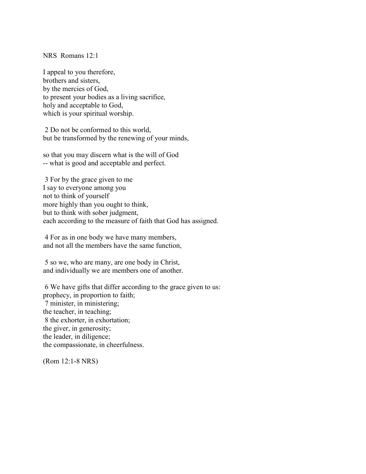NRS Romans 12:1

I appeal to you therefore, brothers and sisters, by the mercies of God, to present your bodies as a living sacrifice, holy and acceptable to God, which is your spiritual worship.

 2 Do not be conformed to this world, but be transformed by the renewing of your minds,

so that you may discern what is the will of God -- what is good and acceptable and perfect.

 3 For by the grace given to me I say to everyone among you not to think of yourself more highly than you ought to think, but to think with sober judgment, each according to the measure of faith that God has assigned.

 4 For as in one body we have many members, and not all the members have the same function,

 5 so we, who are many, are one body in Christ, and individually we are members one of another.

 6 We have gifts that differ according to the grace given to us: prophecy, in proportion to faith; 7 minister, in ministering; the teacher, in teaching; 8 the exhorter, in exhortation; the giver, in generosity; the leader, in diligence; the compassionate, in cheerfulness.

(Rom 12:1-8 NRS)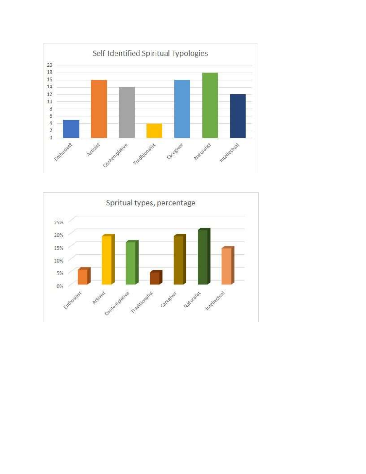

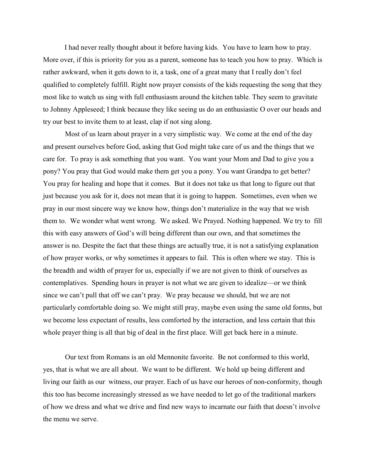I had never really thought about it before having kids. You have to learn how to pray. More over, if this is priority for you as a parent, someone has to teach you how to pray. Which is rather awkward, when it gets down to it, a task, one of a great many that I really don't feel qualified to completely fulfill. Right now prayer consists of the kids requesting the song that they most like to watch us sing with full enthusiasm around the kitchen table. They seem to gravitate to Johnny Appleseed; I think because they like seeing us do an enthusiastic O over our heads and try our best to invite them to at least, clap if not sing along.

Most of us learn about prayer in a very simplistic way. We come at the end of the day and present ourselves before God, asking that God might take care of us and the things that we care for. To pray is ask something that you want. You want your Mom and Dad to give you a pony? You pray that God would make them get you a pony. You want Grandpa to get better? You pray for healing and hope that it comes. But it does not take us that long to figure out that just because you ask for it, does not mean that it is going to happen. Sometimes, even when we pray in our most sincere way we know how, things don't materialize in the way that we wish them to. We wonder what went wrong. We asked. We Prayed. Nothing happened. We try to fill this with easy answers of God's will being different than our own, and that sometimes the answer is no. Despite the fact that these things are actually true, it is not a satisfying explanation of how prayer works, or why sometimes it appears to fail. This is often where we stay. This is the breadth and width of prayer for us, especially if we are not given to think of ourselves as contemplatives. Spending hours in prayer is not what we are given to idealize—or we think since we can't pull that off we can't pray. We pray because we should, but we are not particularly comfortable doing so. We might still pray, maybe even using the same old forms, but we become less expectant of results, less comforted by the interaction, and less certain that this whole prayer thing is all that big of deal in the first place. Will get back here in a minute.

Our text from Romans is an old Mennonite favorite. Be not conformed to this world, yes, that is what we are all about. We want to be different. We hold up being different and living our faith as our witness, our prayer. Each of us have our heroes of non-conformity, though this too has become increasingly stressed as we have needed to let go of the traditional markers of how we dress and what we drive and find new ways to incarnate our faith that doesn't involve the menu we serve.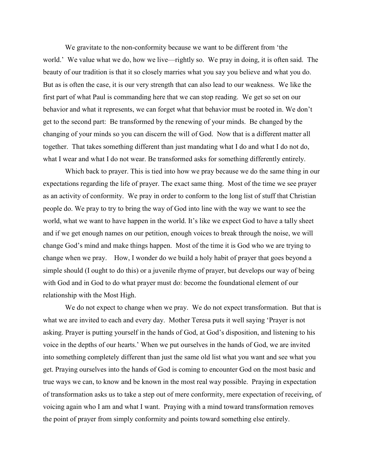We gravitate to the non-conformity because we want to be different from 'the world.' We value what we do, how we live—rightly so. We pray in doing, it is often said. The beauty of our tradition is that it so closely marries what you say you believe and what you do. But as is often the case, it is our very strength that can also lead to our weakness. We like the first part of what Paul is commanding here that we can stop reading. We get so set on our behavior and what it represents, we can forget what that behavior must be rooted in. We don't get to the second part: Be transformed by the renewing of your minds. Be changed by the changing of your minds so you can discern the will of God. Now that is a different matter all together. That takes something different than just mandating what I do and what I do not do, what I wear and what I do not wear. Be transformed asks for something differently entirely.

Which back to prayer. This is tied into how we pray because we do the same thing in our expectations regarding the life of prayer. The exact same thing. Most of the time we see prayer as an activity of conformity. We pray in order to conform to the long list of stuff that Christian people do. We pray to try to bring the way of God into line with the way we want to see the world, what we want to have happen in the world. It's like we expect God to have a tally sheet and if we get enough names on our petition, enough voices to break through the noise, we will change God's mind and make things happen. Most of the time it is God who we are trying to change when we pray. How, I wonder do we build a holy habit of prayer that goes beyond a simple should (I ought to do this) or a juvenile rhyme of prayer, but develops our way of being with God and in God to do what prayer must do: become the foundational element of our relationship with the Most High.

We do not expect to change when we pray. We do not expect transformation. But that is what we are invited to each and every day. Mother Teresa puts it well saying 'Prayer is not asking. Prayer is putting yourself in the hands of God, at God's disposition, and listening to his voice in the depths of our hearts.' When we put ourselves in the hands of God, we are invited into something completely different than just the same old list what you want and see what you get. Praying ourselves into the hands of God is coming to encounter God on the most basic and true ways we can, to know and be known in the most real way possible. Praying in expectation of transformation asks us to take a step out of mere conformity, mere expectation of receiving, of voicing again who I am and what I want. Praying with a mind toward transformation removes the point of prayer from simply conformity and points toward something else entirely.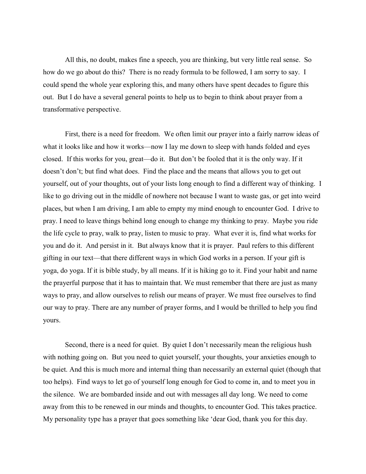All this, no doubt, makes fine a speech, you are thinking, but very little real sense. So how do we go about do this? There is no ready formula to be followed, I am sorry to say. I could spend the whole year exploring this, and many others have spent decades to figure this out. But I do have a several general points to help us to begin to think about prayer from a transformative perspective.

First, there is a need for freedom. We often limit our prayer into a fairly narrow ideas of what it looks like and how it works—now I lay me down to sleep with hands folded and eyes closed. If this works for you, great—do it. But don't be fooled that it is the only way. If it doesn't don't; but find what does. Find the place and the means that allows you to get out yourself, out of your thoughts, out of your lists long enough to find a different way of thinking. I like to go driving out in the middle of nowhere not because I want to waste gas, or get into weird places, but when I am driving, I am able to empty my mind enough to encounter God. I drive to pray. I need to leave things behind long enough to change my thinking to pray. Maybe you ride the life cycle to pray, walk to pray, listen to music to pray. What ever it is, find what works for you and do it. And persist in it. But always know that it is prayer. Paul refers to this different gifting in our text—that there different ways in which God works in a person. If your gift is yoga, do yoga. If it is bible study, by all means. If it is hiking go to it. Find your habit and name the prayerful purpose that it has to maintain that. We must remember that there are just as many ways to pray, and allow ourselves to relish our means of prayer. We must free ourselves to find our way to pray. There are any number of prayer forms, and I would be thrilled to help you find yours.

Second, there is a need for quiet. By quiet I don't necessarily mean the religious hush with nothing going on. But you need to quiet yourself, your thoughts, your anxieties enough to be quiet. And this is much more and internal thing than necessarily an external quiet (though that too helps). Find ways to let go of yourself long enough for God to come in, and to meet you in the silence. We are bombarded inside and out with messages all day long. We need to come away from this to be renewed in our minds and thoughts, to encounter God. This takes practice. My personality type has a prayer that goes something like 'dear God, thank you for this day.